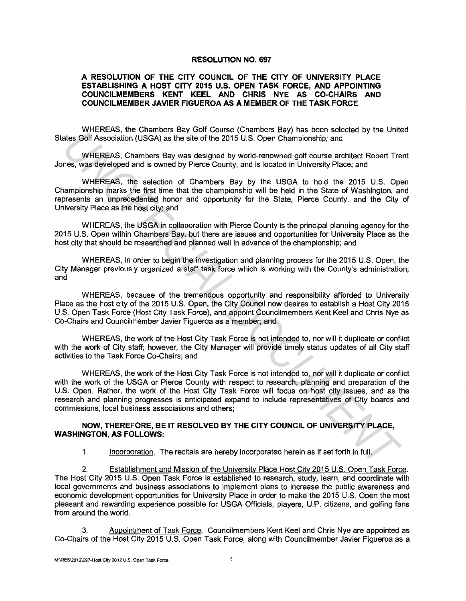## **RESOLUTION NO. 697**

## **A RESOLUTION OF THE CITY COUNCIL OF THE CITY OF UNIVERSITY PLACE ESTABLISHING A HOST CITY 2015 U.S. OPEN TASK FORCE, AND APPOINTING COUNCILMEMBERS KENT KEEL AND CHRIS NYE AS CO-CHAIRS AND COUNCILMEMBER JAVIER FIGUEROA AS A MEMBER OF THE TASK FORCE**

WHEREAS, the Chambers Bay Golf Course (Chambers Bay) has been selected by the United States Golf Association (USGA) as the site of the 2015 U.S. Open Championship; and

WHEREAS, Chambers Bay was designed by world-renowned golf course architect Robert Trent Jones, was developed and is owned by Pierce County, and is located in University Place; and

WHEREAS, the selection of Chambers Bay by the USGA to hold the 2015 U.S. Open Championship marks the first time that the championship will be held in the State of Washington, and represents an unprecedented honor and opportunity for the State, Pierce County, and the City of University Place as the host city; and

WHEREAS, the USGA in collaboration with Pierce County is the principal planning agency for the 2015 U.S. Open within Chambers Bay, but there are issues and opportunities for University Place as the host city that should be researched and planned well in advance of the championship; and

WHEREAS, in order to begin the investigation and planning process for the 2015 U.S. Open, the City Manager previously organized a staff task force which is working with the County's administration; and

WHEREAS, because of the tremendous opportunity and responsibility afforded to University Place as the host city of the 2015 U.S. Open, the City Council now desires to establish a Host City 2015 U.S. Open Task Force (Host City Task Force), and appoint Councilmembers Kent Keel and Chris Nye as Co-Chairs and Councilmember Javier Figueroa as a member; and

WHEREAS, the work of the Host City Task Force is not intended to, nor will it duplicate or conflict with the work of City staff; however, the City Manager will provide timely status updates of all City staff activities to the Task Force Co-Chairs; and

WHEREAS, the work of the Host City Task Force is not intended to, nor will it duplicate or conflict with the work of the USGA or Pierce County with respect to research, planning and preparation of the U.S. Open. Rather, the work of the Host City Task Force will focus on host city issues, and as the research and planning progresses is anticipated expand to include representatives of City boards and commissions, local business associations and others; **Example 10** the Now Solution GUSGA) as the state of the 2015 U.S. Open Champlenship; and<br>
WHEREAS, Chambers Bay was designed by world-renowned golf course architect Robert Tree, was developed and is owned by Piero Countly

## **NOW, THEREFORE, BE IT RESOLVED BY THE CITY COUNCIL OF UNIVERSITY PLACE, WASHINGTON, AS FOLLOWS:**

1. Incorporation. The recitals are hereby incorporated herein as if set forth in full.

2. Establishment and Mission of the University Place Host City 2015 U.S. Open Task Force. The Host City 2015 U.S. Open Task Force is established to research, study, learn, and coordinate with local governments and business associations to implement plans to increase the public awareness and economic development opportunities for University Place in order to make the 2015 U.S. Open the most pleasant and rewarding experience possible for USGA Officials, players, U.P. citizens, and golfing fans from around the world.

3. Appointment of Task Force. Councilmembers Kent Keel and Chris Nye are appointed as Co-Chairs of the Host City 2015 U.S. Open Task Force, along with Councilmember Javier Figueroa as a